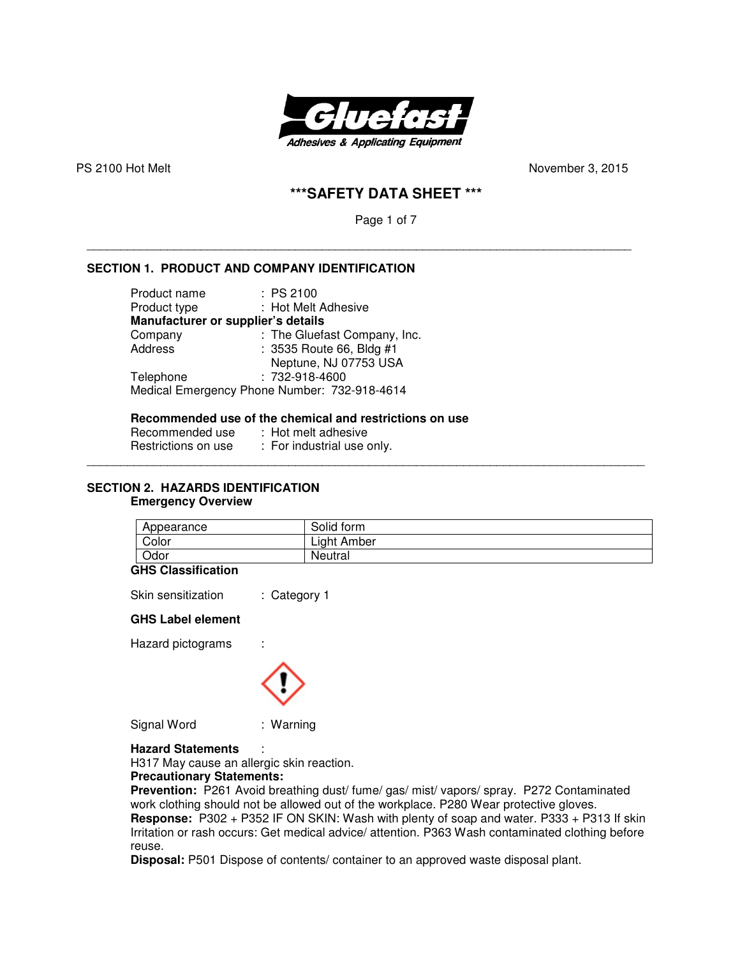

PS 2100 Hot MeltNovember 3, 2015

# **\*\*\*SAFETY DATA SHEET \*\*\***

Page 1 of 7

\_\_\_\_\_\_\_\_\_\_\_\_\_\_\_\_\_\_\_\_\_\_\_\_\_\_\_\_\_\_\_\_\_\_\_\_\_\_\_\_\_\_\_\_\_\_\_\_\_\_\_\_\_\_\_\_\_\_\_\_\_\_\_\_\_\_\_\_\_\_\_\_\_\_\_\_\_\_\_\_\_

### **SECTION 1. PRODUCT AND COMPANY IDENTIFICATION**

| Product name                       | : PS 2100                                    |
|------------------------------------|----------------------------------------------|
| Product type                       | : Hot Melt Adhesive                          |
| Manufacturer or supplier's details |                                              |
| Company                            | : The Gluefast Company, Inc.                 |
| Address                            | : 3535 Route 66, Bldg #1                     |
|                                    | Neptune, NJ 07753 USA                        |
| Telephone                          | : 732-918-4600                               |
|                                    | Medical Emergency Phone Number: 732-918-4614 |
|                                    |                                              |

### **Recommended use of the chemical and restrictions on use**

Recommended use : Hot melt adhesive Restrictions on use : For industrial use only.

### **SECTION 2. HAZARDS IDENTIFICATION Emergency Overview**

| Appearance | Solid form  |
|------------|-------------|
| Color      | Light Amber |
| Odor       | Neutral     |

\_\_\_\_\_\_\_\_\_\_\_\_\_\_\_\_\_\_\_\_\_\_\_\_\_\_\_\_\_\_\_\_\_\_\_\_\_\_\_\_\_\_\_\_\_\_\_\_\_\_\_\_\_\_\_\_\_\_\_\_\_\_\_\_\_\_\_\_\_\_\_\_\_\_\_\_\_\_\_\_\_\_\_

#### **GHS Classification**

Skin sensitization : Category 1

### **GHS Label element**

Hazard pictograms :



Signal Word : Warning

**Hazard Statements** :

H317 May cause an allergic skin reaction.

### **Precautionary Statements:**

**Prevention:** P261 Avoid breathing dust/ fume/ gas/ mist/ vapors/ spray. P272 Contaminated work clothing should not be allowed out of the workplace. P280 Wear protective gloves. **Response:** P302 + P352 IF ON SKIN: Wash with plenty of soap and water. P333 + P313 If skin Irritation or rash occurs: Get medical advice/ attention. P363 Wash contaminated clothing before reuse.

**Disposal:** P501 Dispose of contents/ container to an approved waste disposal plant.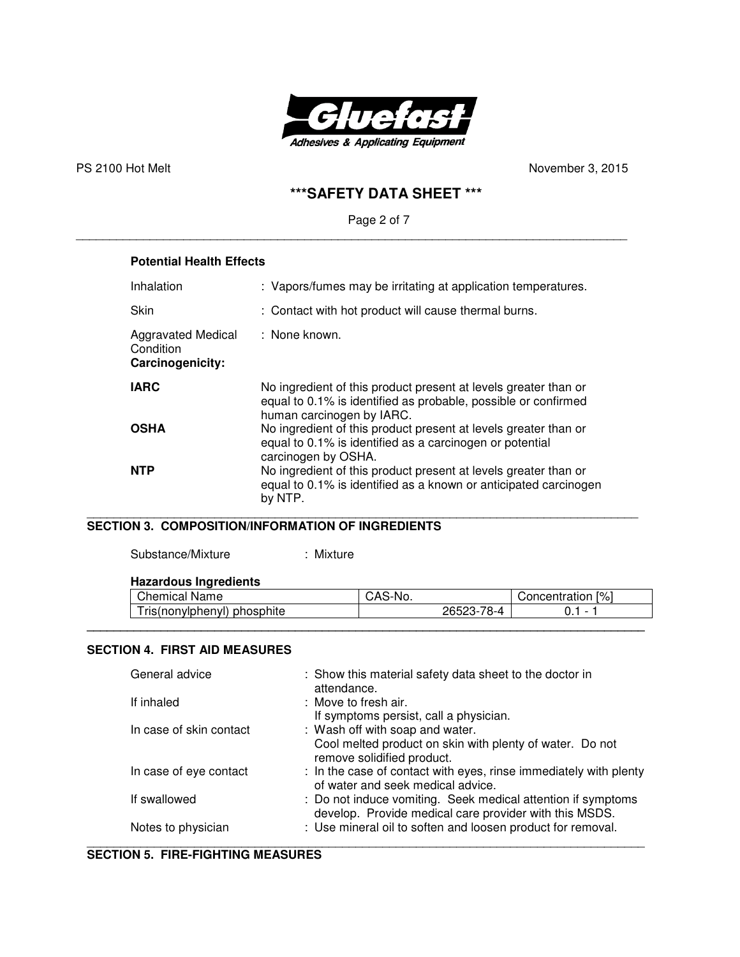

PS 2100 Hot Melt
November 3, 2015
November 3, 2015

# **\*\*\*SAFETY DATA SHEET \*\*\***

# Page 2 of 7

\_\_\_\_\_\_\_\_\_\_\_\_\_\_\_\_\_\_\_\_\_\_\_\_\_\_\_\_\_\_\_\_\_\_\_\_\_\_\_\_\_\_\_\_\_\_\_\_\_\_\_\_\_\_\_\_\_\_\_\_\_\_\_\_\_\_\_\_\_\_\_\_\_\_\_\_\_\_\_\_\_\_

# **Potential Health Effects**

| Inhalation                                          | : Vapors/fumes may be irritating at application temperatures.                                                                                                  |
|-----------------------------------------------------|----------------------------------------------------------------------------------------------------------------------------------------------------------------|
| Skin                                                | : Contact with hot product will cause thermal burns.                                                                                                           |
| Aggravated Medical<br>Condition<br>Carcinogenicity: | : None known.                                                                                                                                                  |
| <b>IARC</b>                                         | No ingredient of this product present at levels greater than or<br>equal to 0.1% is identified as probable, possible or confirmed<br>human carcinogen by IARC. |
| <b>OSHA</b>                                         | No ingredient of this product present at levels greater than or<br>equal to 0.1% is identified as a carcinogen or potential<br>carcinogen by OSHA.             |
| <b>NTP</b>                                          | No ingredient of this product present at levels greater than or<br>equal to 0.1% is identified as a known or anticipated carcinogen<br>by NTP.                 |

### \_\_\_\_\_\_\_\_\_\_\_\_\_\_\_\_\_\_\_\_\_\_\_\_\_\_\_\_\_\_\_\_\_\_\_\_\_\_\_\_\_\_\_\_\_\_\_\_\_\_\_\_\_\_\_\_\_\_\_\_\_\_\_\_\_\_\_\_\_\_\_\_\_\_\_\_\_\_\_\_\_\_ **SECTION 3. COMPOSITION/INFORMATION OF INGREDIENTS**

| Substance/Mixture | : Mixture |
|-------------------|-----------|
|-------------------|-----------|

### **Hazardous Ingredients**

| Chemical<br>Name                               | ∵-No.<br>∵-ت∧ب |                             | [%]<br>∕oncentr∕<br>. atlon    |  |
|------------------------------------------------|----------------|-----------------------------|--------------------------------|--|
| phosphite<br><b>ris</b><br>(nonylphen)<br>าvเ) |                | 70<br>つよちつつ<br>- ہ– ~<br>╮– | $\overline{\phantom{0}}$<br>v. |  |
|                                                |                |                             |                                |  |

### **SECTION 4. FIRST AID MEASURES**

| General advice          | : Show this material safety data sheet to the doctor in<br>attendance.                                                 |
|-------------------------|------------------------------------------------------------------------------------------------------------------------|
| If inhaled              | : Move to fresh air.<br>If symptoms persist, call a physician.                                                         |
| In case of skin contact | : Wash off with soap and water.                                                                                        |
|                         | Cool melted product on skin with plenty of water. Do not<br>remove solidified product.                                 |
| In case of eye contact  | : In the case of contact with eyes, rinse immediately with plenty<br>of water and seek medical advice.                 |
| If swallowed            | : Do not induce vomiting. Seek medical attention if symptoms<br>develop. Provide medical care provider with this MSDS. |
| Notes to physician      | : Use mineral oil to soften and loosen product for removal.                                                            |

### **SECTION 5. FIRE-FIGHTING MEASURES**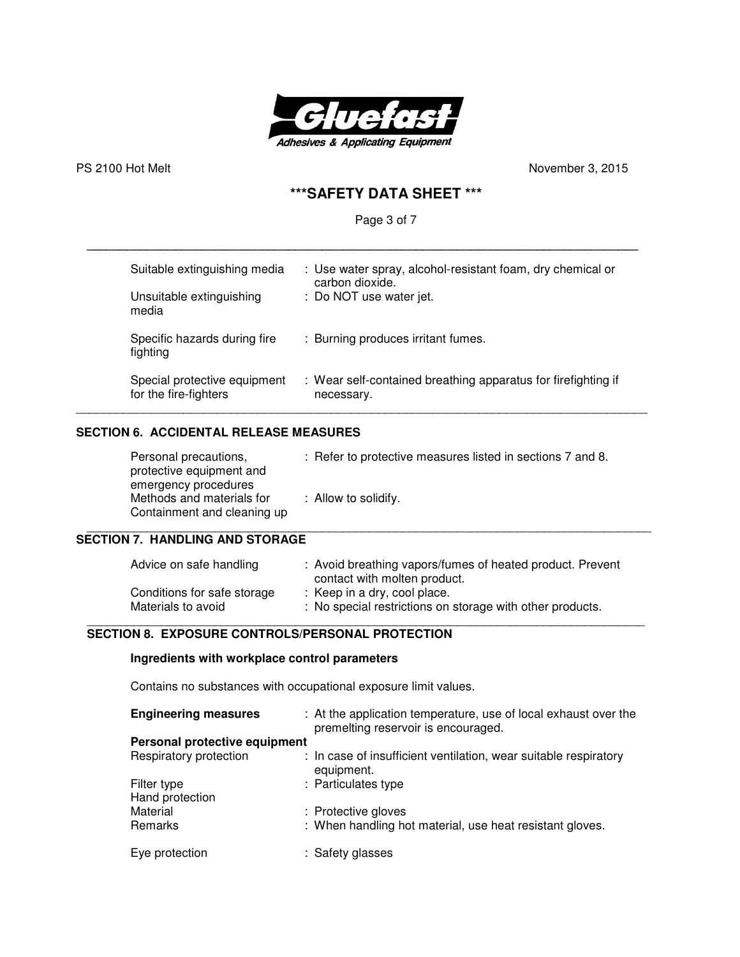

PS 2100 Hot Melt
November 3, 2015
November 3, 2015

# **\*\*\*SAFETY DATA SHEET \*\*\***

# Page 3 of 7

| Suitable extinguishing media             | : Use water spray, alcohol-resistant foam, dry chemical or    |
|------------------------------------------|---------------------------------------------------------------|
| Unsuitable extinguishing                 | carbon dioxide.                                               |
| media                                    | : Do NOT use water jet.                                       |
| Specific hazards during fire<br>fighting | : Burning produces irritant fumes.                            |
| Special protective equipment             | : Wear self-contained breathing apparatus for firefighting if |
| for the fire-fighters                    | necessary.                                                    |

**\_\_\_\_\_\_\_\_\_\_\_\_\_\_\_\_\_\_\_\_\_\_\_\_\_\_\_\_\_\_\_\_\_\_\_\_\_\_\_\_\_\_\_\_\_\_\_\_\_\_\_\_\_\_\_\_\_\_\_\_\_\_\_\_\_\_\_\_\_\_\_\_\_\_\_\_\_\_\_\_\_\_** 

# **SECTION 6. ACCIDENTAL RELEASE MEASURES**

| Personal precautions,<br>protective equipment and<br>emergency procedures | : Refer to protective measures listed in sections 7 and 8. |
|---------------------------------------------------------------------------|------------------------------------------------------------|
| Methods and materials for<br>Containment and cleaning up                  | : Allow to solidify.                                       |

### **SECTION 7. HANDLING AND STORAGE**

| Advice on safe handling     | : Avoid breathing vapors/fumes of heated product. Prevent<br>contact with molten product. |
|-----------------------------|-------------------------------------------------------------------------------------------|
| Conditions for safe storage | : Keep in a dry, cool place.                                                              |
| Materials to avoid          | : No special restrictions on storage with other products.                                 |

### \_\_\_\_\_\_\_\_\_\_\_\_\_\_\_\_\_\_\_\_\_\_\_\_\_\_\_\_\_\_\_\_\_\_\_\_\_\_\_\_\_\_\_\_\_\_\_\_\_\_\_\_\_\_\_\_\_\_\_\_\_\_\_\_\_\_\_\_\_\_\_\_\_\_\_\_\_\_\_\_\_\_\_  **SECTION 8. EXPOSURE CONTROLS/PERSONAL PROTECTION**

### **Ingredients with workplace control parameters**

Contains no substances with occupational exposure limit values.

| <b>Engineering measures</b>    | : At the application temperature, use of local exhaust over the<br>premelting reservoir is encouraged. |
|--------------------------------|--------------------------------------------------------------------------------------------------------|
| Personal protective equipment  |                                                                                                        |
| Respiratory protection         | : In case of insufficient ventilation, wear suitable respiratory<br>equipment.                         |
| Filter type<br>Hand protection | : Particulates type                                                                                    |
| Material                       | : Protective gloves                                                                                    |
| Remarks                        | : When handling hot material, use heat resistant gloves.                                               |
| Eye protection                 | : Safety glasses                                                                                       |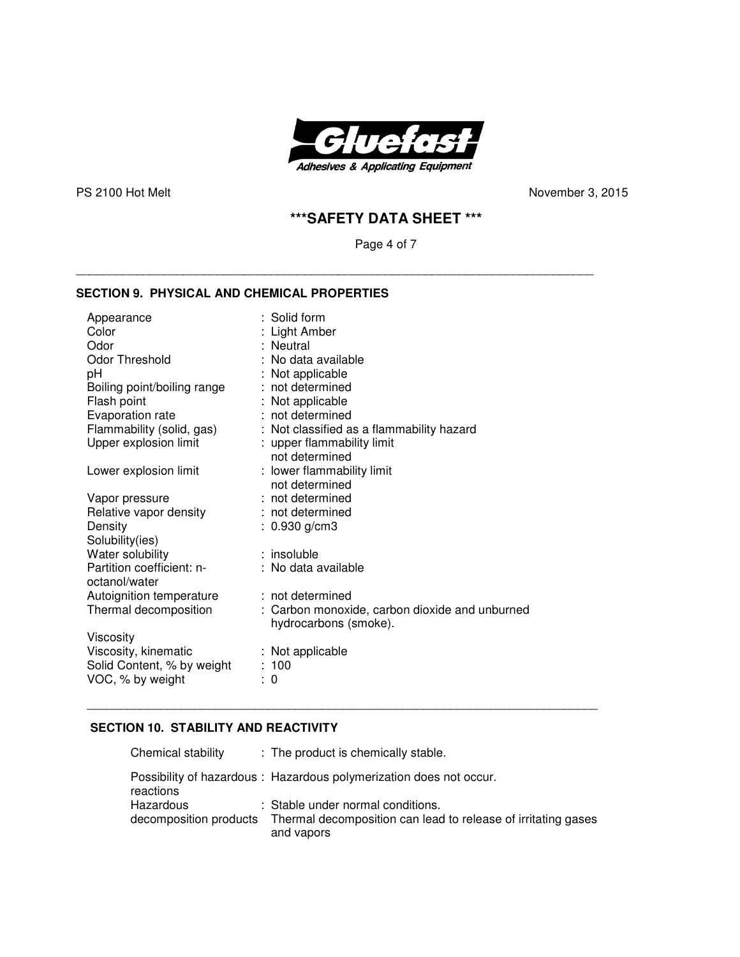

PS 2100 Hot Melt
November 3, 2015
November 3, 2015
November 3, 2015
November 3, 2015
November 3, 2015
November 3, 2015
November 3, 2015
November 3, 2015
November 3, 2015
November 3, 2015
November 3, 2015
November 3, 2015
N

# **\*\*\*SAFETY DATA SHEET \*\*\***

Page 4 of 7

\_\_\_\_\_\_\_\_\_\_\_\_\_\_\_\_\_\_\_\_\_\_\_\_\_\_\_\_\_\_\_\_\_\_\_\_\_\_\_\_\_\_\_\_\_\_\_\_\_\_\_\_\_\_\_\_\_\_\_\_\_\_\_\_\_\_\_\_\_\_\_\_\_\_\_\_\_

### **SECTION 9. PHYSICAL AND CHEMICAL PROPERTIES**

| Appearance<br>Color<br>Odor<br>Odor Threshold<br>pH<br>Boiling point/boiling range<br>Flash point<br>Evaporation rate | $:$ Solid form<br>: Light Amber<br>: Neutral<br>: No data available<br>: Not applicable<br>: not determined<br>: Not applicable<br>: not determined |
|-----------------------------------------------------------------------------------------------------------------------|-----------------------------------------------------------------------------------------------------------------------------------------------------|
| Flammability (solid, gas)                                                                                             | : Not classified as a flammability hazard                                                                                                           |
| Upper explosion limit                                                                                                 | : upper flammability limit                                                                                                                          |
|                                                                                                                       | not determined                                                                                                                                      |
| Lower explosion limit                                                                                                 | : lower flammability limit<br>not determined                                                                                                        |
| Vapor pressure                                                                                                        | : not determined                                                                                                                                    |
| Relative vapor density                                                                                                | : not determined                                                                                                                                    |
| Density                                                                                                               | $: 0.930$ g/cm3                                                                                                                                     |
| Solubility(ies)                                                                                                       |                                                                                                                                                     |
| Water solubility                                                                                                      | : insoluble                                                                                                                                         |
| Partition coefficient: n-                                                                                             | : No data available                                                                                                                                 |
| octanol/water                                                                                                         |                                                                                                                                                     |
| Autoignition temperature                                                                                              | : not determined                                                                                                                                    |
| Thermal decomposition                                                                                                 | : Carbon monoxide, carbon dioxide and unburned<br>hydrocarbons (smoke).                                                                             |
| Viscosity                                                                                                             |                                                                                                                                                     |
| Viscosity, kinematic                                                                                                  | : Not applicable                                                                                                                                    |
| Solid Content, % by weight                                                                                            | :100                                                                                                                                                |
| VOC, % by weight                                                                                                      | : 0                                                                                                                                                 |

# **SECTION 10. STABILITY AND REACTIVITY**

| Chemical stability                  | : The product is chemically stable.                                                                              |
|-------------------------------------|------------------------------------------------------------------------------------------------------------------|
| reactions                           | Possibility of hazardous: Hazardous polymerization does not occur.                                               |
| Hazardous<br>decomposition products | : Stable under normal conditions.<br>Thermal decomposition can lead to release of irritating gases<br>and vapors |

\_\_\_\_\_\_\_\_\_\_\_\_\_\_\_\_\_\_\_\_\_\_\_\_\_\_\_\_\_\_\_\_\_\_\_\_\_\_\_\_\_\_\_\_\_\_\_\_\_\_\_\_\_\_\_\_\_\_\_\_\_\_\_\_\_\_\_\_\_\_\_\_\_\_\_\_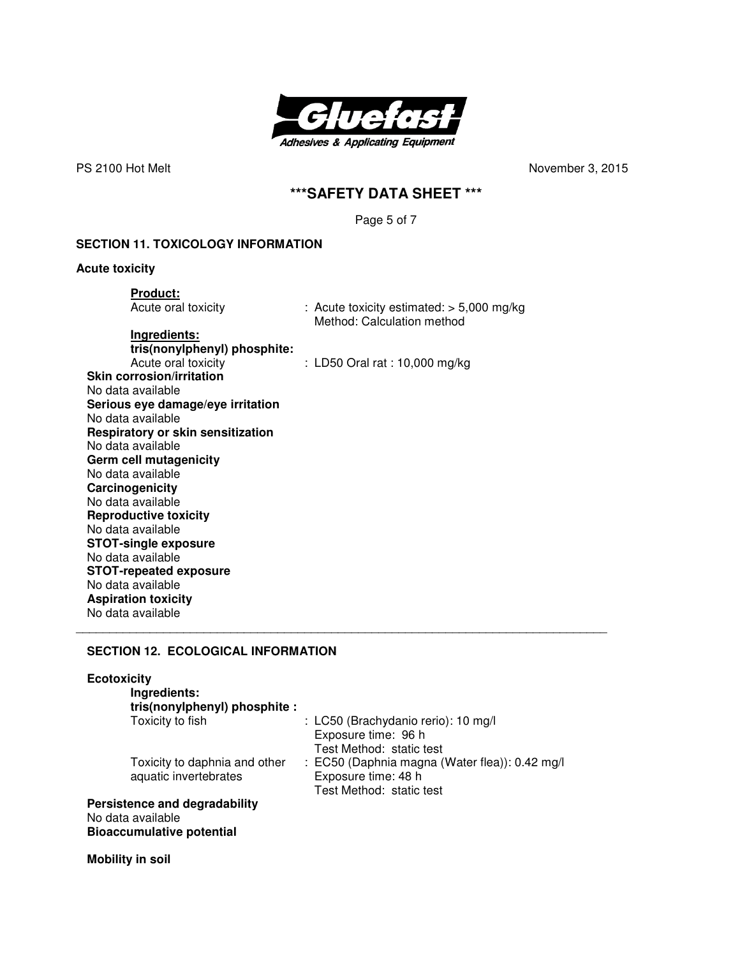

PS 2100 Hot MeltNovember 3, 2015

# **\*\*\*SAFETY DATA SHEET \*\*\***

Page 5 of 7

### **SECTION 11. TOXICOLOGY INFORMATION**

**Acute toxicity** 

**Product:**<br>Acute oral toxicity

: Acute toxicity estimated:  $> 5,000$  mg/kg Method: Calculation method

**Ingredients:** 

 **tris(nonylphenyl) phosphite:**   $: LD50$  Oral rat  $: 10,000$  mg/kg **Skin corrosion/irritation**  No data available **Serious eye damage/eye irritation**  No data available **Respiratory or skin sensitization**  No data available **Germ cell mutagenicity**  No data available **Carcinogenicity**  No data available **Reproductive toxicity**  No data available **STOT-single exposure**  No data available **STOT-repeated exposure**  No data available **Aspiration toxicity**  No data available

### **SECTION 12. ECOLOGICAL INFORMATION**

# **Ecotoxicity**

| Ingredients:<br>tris(nonylphenyl) phosphite :          |                                                                                                   |
|--------------------------------------------------------|---------------------------------------------------------------------------------------------------|
| Toxicity to fish                                       | : LC50 (Brachydanio rerio): 10 mg/l<br>Exposure time: 96 h<br>Test Method: static test            |
| Toxicity to daphnia and other<br>aquatic invertebrates | : EC50 (Daphnia magna (Water flea)): 0.42 mg/l<br>Exposure time: 48 h<br>Test Method: static test |
| Persistence and degradability                          |                                                                                                   |
| No data available<br><b>Bioaccumulative potential</b>  |                                                                                                   |

\_\_\_\_\_\_\_\_\_\_\_\_\_\_\_\_\_\_\_\_\_\_\_\_\_\_\_\_\_\_\_\_\_\_\_\_\_\_\_\_\_\_\_\_\_\_\_\_\_\_\_\_\_\_\_\_\_\_\_\_\_\_\_\_\_\_\_\_\_\_\_\_\_\_\_\_\_\_\_

**Mobility in soil**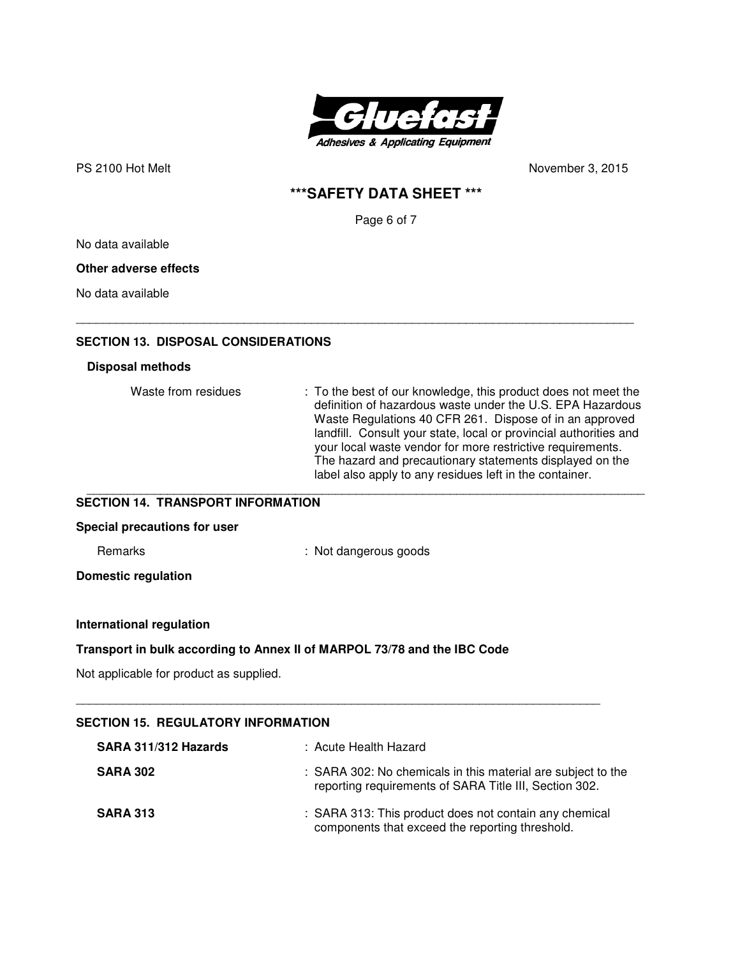

PS 2100 Hot Melt
November 3, 2015 **PS** 2100 Hot Melt

November 3, 2015

# **\*\*\*SAFETY DATA SHEET \*\*\***

Page 6 of 7

No data available

# **Other adverse effects**

No data available

### **SECTION 13. DISPOSAL CONSIDERATIONS**

### **Disposal methods**

| Waste from residues | : To the best of our knowledge, this product does not meet the<br>definition of hazardous waste under the U.S. EPA Hazardous<br>Waste Regulations 40 CFR 261. Dispose of in an approved<br>landfill. Consult your state, local or provincial authorities and<br>your local waste vendor for more restrictive requirements.<br>The hazard and precautionary statements displayed on the<br>label also apply to any residues left in the container. |
|---------------------|---------------------------------------------------------------------------------------------------------------------------------------------------------------------------------------------------------------------------------------------------------------------------------------------------------------------------------------------------------------------------------------------------------------------------------------------------|
|---------------------|---------------------------------------------------------------------------------------------------------------------------------------------------------------------------------------------------------------------------------------------------------------------------------------------------------------------------------------------------------------------------------------------------------------------------------------------------|

\_\_\_\_\_\_\_\_\_\_\_\_\_\_\_\_\_\_\_\_\_\_\_\_\_\_\_\_\_\_\_\_\_\_\_\_\_\_\_\_\_\_\_\_\_\_\_\_\_\_\_\_\_\_\_\_\_\_\_\_\_\_\_\_\_\_\_\_\_\_\_\_\_\_\_\_\_\_\_\_\_\_\_

### **SECTION 14. TRANSPORT INFORMATION**

### **Special precautions for user**

Remarks : Not dangerous goods

**Domestic regulation** 

### **International regulation**

### **Transport in bulk according to Annex II of MARPOL 73/78 and the IBC Code**

Not applicable for product as supplied.

| SECTION 15.  REGULATORY INFORMATION |                                                                                                                        |
|-------------------------------------|------------------------------------------------------------------------------------------------------------------------|
| SARA 311/312 Hazards                | : Acute Health Hazard                                                                                                  |
| <b>SARA 302</b>                     | : SARA 302: No chemicals in this material are subject to the<br>reporting requirements of SARA Title III, Section 302. |
| <b>SARA 313</b>                     | : SARA 313: This product does not contain any chemical<br>components that exceed the reporting threshold.              |

\_\_\_\_\_\_\_\_\_\_\_\_\_\_\_\_\_\_\_\_\_\_\_\_\_\_\_\_\_\_\_\_\_\_\_\_\_\_\_\_\_\_\_\_\_\_\_\_\_\_\_\_\_\_\_\_\_\_\_\_\_\_\_\_\_\_\_\_\_\_\_\_\_\_\_\_\_\_